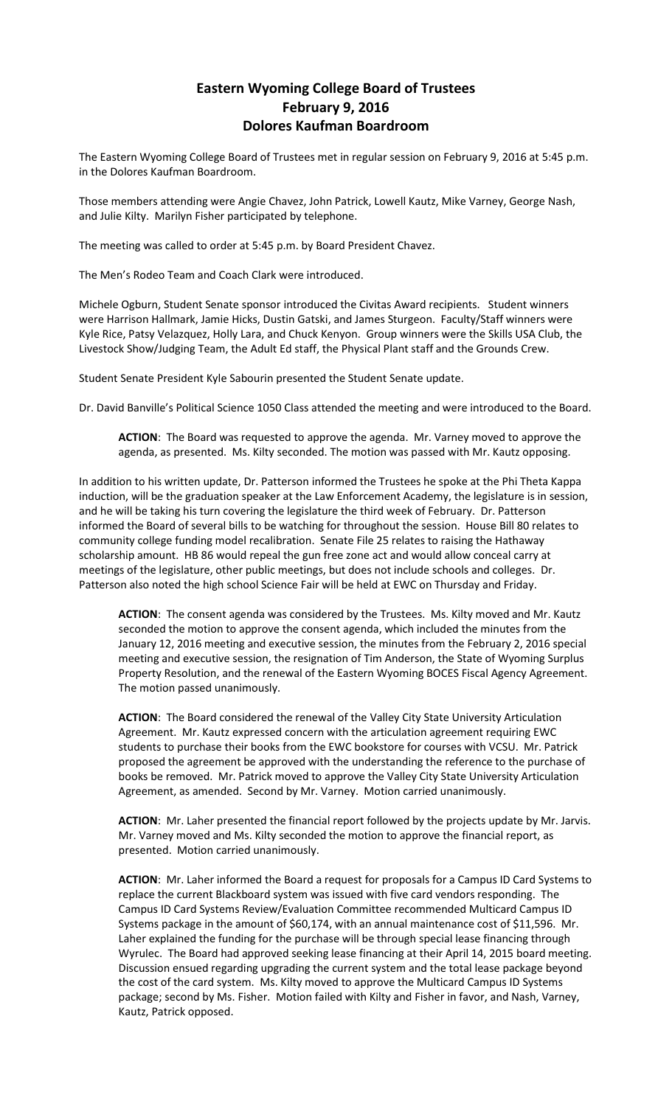## **Eastern Wyoming College Board of Trustees February 9, 2016 Dolores Kaufman Boardroom**

The Eastern Wyoming College Board of Trustees met in regular session on February 9, 2016 at 5:45 p.m. in the Dolores Kaufman Boardroom.

Those members attending were Angie Chavez, John Patrick, Lowell Kautz, Mike Varney, George Nash, and Julie Kilty. Marilyn Fisher participated by telephone.

The meeting was called to order at 5:45 p.m. by Board President Chavez.

The Men's Rodeo Team and Coach Clark were introduced.

Michele Ogburn, Student Senate sponsor introduced the Civitas Award recipients. Student winners were Harrison Hallmark, Jamie Hicks, Dustin Gatski, and James Sturgeon. Faculty/Staff winners were Kyle Rice, Patsy Velazquez, Holly Lara, and Chuck Kenyon. Group winners were the Skills USA Club, the Livestock Show/Judging Team, the Adult Ed staff, the Physical Plant staff and the Grounds Crew.

Student Senate President Kyle Sabourin presented the Student Senate update.

Dr. David Banville's Political Science 1050 Class attended the meeting and were introduced to the Board.

**ACTION**: The Board was requested to approve the agenda. Mr. Varney moved to approve the agenda, as presented. Ms. Kilty seconded. The motion was passed with Mr. Kautz opposing.

In addition to his written update, Dr. Patterson informed the Trustees he spoke at the Phi Theta Kappa induction, will be the graduation speaker at the Law Enforcement Academy, the legislature is in session, and he will be taking his turn covering the legislature the third week of February. Dr. Patterson informed the Board of several bills to be watching for throughout the session. House Bill 80 relates to community college funding model recalibration. Senate File 25 relates to raising the Hathaway scholarship amount. HB 86 would repeal the gun free zone act and would allow conceal carry at meetings of the legislature, other public meetings, but does not include schools and colleges. Dr. Patterson also noted the high school Science Fair will be held at EWC on Thursday and Friday.

**ACTION**: The consent agenda was considered by the Trustees. Ms. Kilty moved and Mr. Kautz seconded the motion to approve the consent agenda, which included the minutes from the January 12, 2016 meeting and executive session, the minutes from the February 2, 2016 special meeting and executive session, the resignation of Tim Anderson, the State of Wyoming Surplus Property Resolution, and the renewal of the Eastern Wyoming BOCES Fiscal Agency Agreement. The motion passed unanimously.

**ACTION**: The Board considered the renewal of the Valley City State University Articulation Agreement. Mr. Kautz expressed concern with the articulation agreement requiring EWC students to purchase their books from the EWC bookstore for courses with VCSU. Mr. Patrick proposed the agreement be approved with the understanding the reference to the purchase of books be removed. Mr. Patrick moved to approve the Valley City State University Articulation Agreement, as amended. Second by Mr. Varney. Motion carried unanimously.

**ACTION**: Mr. Laher presented the financial report followed by the projects update by Mr. Jarvis. Mr. Varney moved and Ms. Kilty seconded the motion to approve the financial report, as presented. Motion carried unanimously.

**ACTION**: Mr. Laher informed the Board a request for proposals for a Campus ID Card Systems to replace the current Blackboard system was issued with five card vendors responding. The Campus ID Card Systems Review/Evaluation Committee recommended Multicard Campus ID Systems package in the amount of \$60,174, with an annual maintenance cost of \$11,596. Mr. Laher explained the funding for the purchase will be through special lease financing through Wyrulec. The Board had approved seeking lease financing at their April 14, 2015 board meeting. Discussion ensued regarding upgrading the current system and the total lease package beyond the cost of the card system. Ms. Kilty moved to approve the Multicard Campus ID Systems package; second by Ms. Fisher. Motion failed with Kilty and Fisher in favor, and Nash, Varney, Kautz, Patrick opposed.